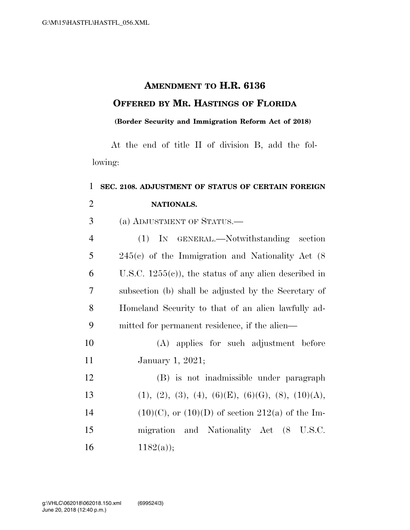## **AMENDMENT TO H.R. 6136 OFFERED BY MR. HASTINGS OF FLORIDA**

## **(Border Security and Immigration Reform Act of 2018)**

At the end of title II of division B, add the following:

## **SEC. 2108. ADJUSTMENT OF STATUS OF CERTAIN FOREIGN NATIONALS.**  (a) ADJUSTMENT OF STATUS.—

| $\overline{4}$ | (1) IN GENERAL.—Notwithstanding section                  |
|----------------|----------------------------------------------------------|
| 5              | $245(c)$ of the Immigration and Nationality Act (8)      |
| 6              | U.S.C. $1255(c)$ , the status of any alien described in  |
| 7              | subsection (b) shall be adjusted by the Secretary of     |
| 8              | Homeland Security to that of an alien lawfully ad-       |
| 9              | mitted for permanent residence, if the alien—            |
| $\Omega$       | $(A)$ and $B_{\infty}$ and $A_{\infty}$ and $A_{\infty}$ |

 (A) applies for such adjustment before January 1, 2021;

| 12 | (B) is not inadmissible under paragraph               |
|----|-------------------------------------------------------|
| 13 | $(1), (2), (3), (4), (6)(E), (6)(G), (8), (10)(A),$   |
| 14 | $(10)(C)$ , or $(10)(D)$ of section 212(a) of the Im- |
| 15 | migration and Nationality Act (8 U.S.C.               |
| 16 | $1182(a)$ ;                                           |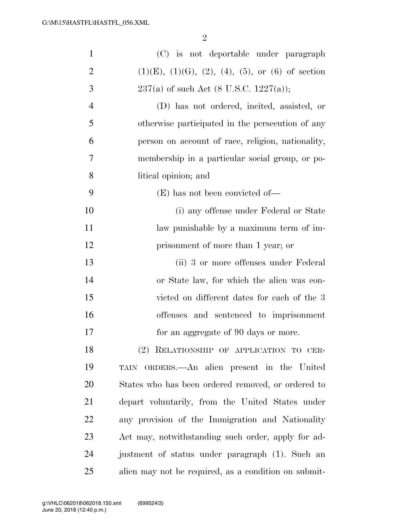| $\mathbf{1}$   | (C) is not deportable under paragraph                             |
|----------------|-------------------------------------------------------------------|
| $\overline{2}$ | $(1)(E)$ , $(1)(G)$ , $(2)$ , $(4)$ , $(5)$ , or $(6)$ of section |
| 3              | $237(a)$ of such Act (8 U.S.C. 1227(a));                          |
| $\overline{4}$ | (D) has not ordered, incited, assisted, or                        |
| 5              | otherwise participated in the persecution of any                  |
| 6              | person on account of race, religion, nationality,                 |
| 7              | membership in a particular social group, or po-                   |
| 8              | litical opinion; and                                              |
| 9              | $(E)$ has not been convicted of—                                  |
| 10             | (i) any offense under Federal or State                            |
| 11             | law punishable by a maximum term of im-                           |
| 12             | prisonment of more than 1 year; or                                |
| 13             | (ii) 3 or more offenses under Federal                             |
| 14             | or State law, for which the alien was con-                        |
| 15             | victed on different dates for each of the 3                       |
| 16             | offenses and sentenced to imprisonment                            |
| 17             | for an aggregate of 90 days or more.                              |
| 18             | (2) RELATIONSHIP OF APPLICATION TO CER-                           |
| 19             | TAIN ORDERS.—An alien present in the United                       |
| 20             | States who has been ordered removed, or ordered to                |
| 21             | depart voluntarily, from the United States under                  |
| 22             | any provision of the Immigration and Nationality                  |
| 23             | Act may, notwithstanding such order, apply for ad-                |
| 24             | justment of status under paragraph (1). Such an                   |
| 25             | alien may not be required, as a condition on submit-              |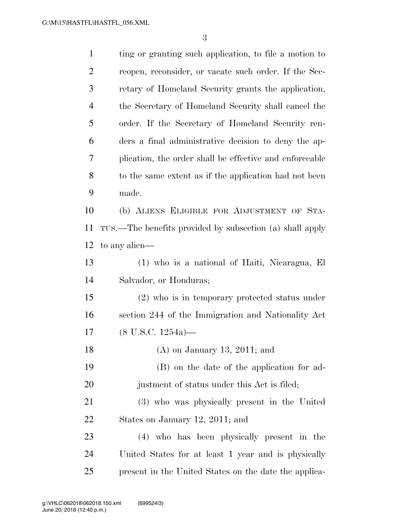| $\mathbf{1}$   | ting or granting such application, to file a motion to   |
|----------------|----------------------------------------------------------|
| $\overline{2}$ | reopen, reconsider, or vacate such order. If the Sec-    |
| 3              | retary of Homeland Security grants the application,      |
| $\overline{4}$ | the Secretary of Homeland Security shall cancel the      |
| 5              | order. If the Secretary of Homeland Security ren-        |
| 6              | ders a final administrative decision to deny the ap-     |
| 7              | plication, the order shall be effective and enforceable  |
| 8              | to the same extent as if the application had not been    |
| 9              | made.                                                    |
| 10             | (b) ALIENS ELIGIBLE FOR ADJUSTMENT OF STA-               |
| 11             | TUS.—The benefits provided by subsection (a) shall apply |
| 12             | to any alien—                                            |
| 13             | (1) who is a national of Haiti, Nicaragua, El            |
| 14             | Salvador, or Honduras;                                   |
| 15             | $(2)$ who is in temporary protected status under         |
| 16             | section 244 of the Immigration and Nationality Act       |
| 17             | $(8$ U.S.C. $1254a$ )—                                   |
| 18             | $(A)$ on January 13, 2011; and                           |
| 19             | (B) on the date of the application for ad-               |
| 20             | justment of status under this Act is filed;              |
| 21             | (3) who was physically present in the United             |
| 22             | States on January 12, 2011; and                          |
| 23             | (4) who has been physically present in the               |
| 24             | United States for at least 1 year and is physically      |
| 25             | present in the United States on the date the applica-    |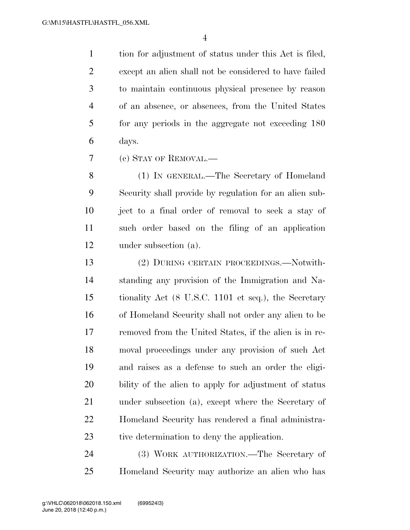tion for adjustment of status under this Act is filed, except an alien shall not be considered to have failed to maintain continuous physical presence by reason of an absence, or absences, from the United States for any periods in the aggregate not exceeding 180 days.

(c) STAY OF REMOVAL.—

 (1) IN GENERAL.—The Secretary of Homeland Security shall provide by regulation for an alien sub- ject to a final order of removal to seek a stay of such order based on the filing of an application under subsection (a).

 (2) DURING CERTAIN PROCEEDINGS.—Notwith- standing any provision of the Immigration and Na- tionality Act (8 U.S.C. 1101 et seq.), the Secretary of Homeland Security shall not order any alien to be removed from the United States, if the alien is in re- moval proceedings under any provision of such Act and raises as a defense to such an order the eligi- bility of the alien to apply for adjustment of status under subsection (a), except where the Secretary of Homeland Security has rendered a final administra-tive determination to deny the application.

 (3) WORK AUTHORIZATION.—The Secretary of Homeland Security may authorize an alien who has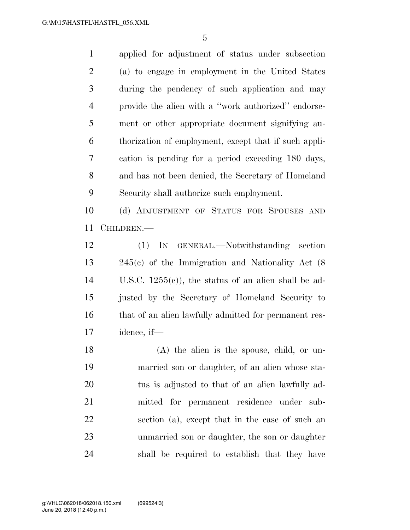applied for adjustment of status under subsection (a) to engage in employment in the United States during the pendency of such application and may provide the alien with a ''work authorized'' endorse- ment or other appropriate document signifying au- thorization of employment, except that if such appli- cation is pending for a period exceeding 180 days, and has not been denied, the Secretary of Homeland Security shall authorize such employment.

 (d) ADJUSTMENT OF STATUS FOR SPOUSES AND CHILDREN.—

 (1) IN GENERAL.—Notwithstanding section 245(c) of the Immigration and Nationality Act (8 U.S.C. 1255(c)), the status of an alien shall be ad- justed by the Secretary of Homeland Security to 16 that of an alien lawfully admitted for permanent res-idence, if—

 (A) the alien is the spouse, child, or un- married son or daughter, of an alien whose sta- tus is adjusted to that of an alien lawfully ad- mitted for permanent residence under sub- section (a), except that in the case of such an unmarried son or daughter, the son or daughter shall be required to establish that they have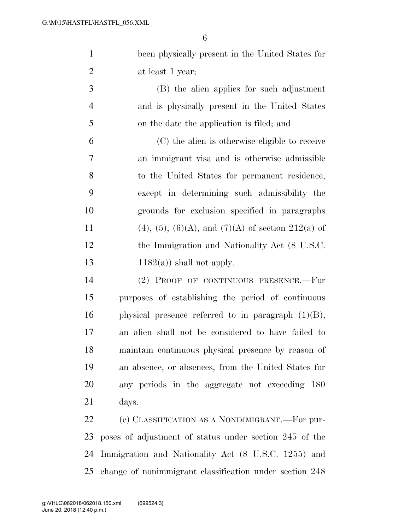been physically present in the United States for 2 at least 1 year;

 (B) the alien applies for such adjustment and is physically present in the United States on the date the application is filed; and

 (C) the alien is otherwise eligible to receive an immigrant visa and is otherwise admissible to the United States for permanent residence, except in determining such admissibility the grounds for exclusion specified in paragraphs 11 (4), (5), (6)(A), and (7)(A) of section 212(a) of the Immigration and Nationality Act (8 U.S.C.  $1182(a)$ ) shall not apply.

 (2) PROOF OF CONTINUOUS PRESENCE.—For purposes of establishing the period of continuous 16 physical presence referred to in paragraph  $(1)(B)$ , an alien shall not be considered to have failed to maintain continuous physical presence by reason of an absence, or absences, from the United States for any periods in the aggregate not exceeding 180 days.

 (e) CLASSIFICATION AS A NONIMMIGRANT.—For pur- poses of adjustment of status under section 245 of the Immigration and Nationality Act (8 U.S.C. 1255) and change of nonimmigrant classification under section 248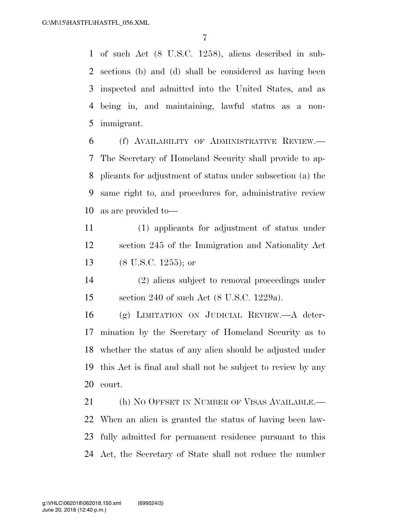of such Act (8 U.S.C. 1258), aliens described in sub- sections (b) and (d) shall be considered as having been inspected and admitted into the United States, and as being in, and maintaining, lawful status as a non-immigrant.

 (f) AVAILABILITY OF ADMINISTRATIVE REVIEW.— The Secretary of Homeland Security shall provide to ap- plicants for adjustment of status under subsection (a) the same right to, and procedures for, administrative review as are provided to—

 (1) applicants for adjustment of status under section 245 of the Immigration and Nationality Act (8 U.S.C. 1255); or

 (2) aliens subject to removal proceedings under section 240 of such Act (8 U.S.C. 1229a).

 (g) LIMITATION ON JUDICIAL REVIEW.—A deter- mination by the Secretary of Homeland Security as to whether the status of any alien should be adjusted under this Act is final and shall not be subject to review by any court.

21 (h) NO OFFSET IN NUMBER OF VISAS AVAILABLE.— When an alien is granted the status of having been law- fully admitted for permanent residence pursuant to this Act, the Secretary of State shall not reduce the number